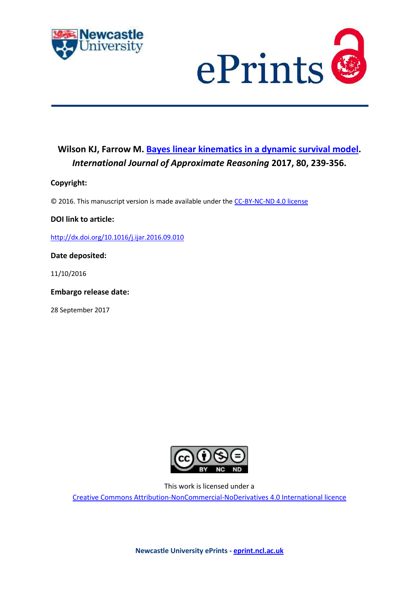



# **Wilson KJ, Farrow M. [Bayes linear kinematics in a dynamic survival model.](https://myimpact.ncl.ac.uk/ViewPublication.aspx?id=228335)**  *International Journal of Approximate Reasoning* **2017, 80, 239-356.**

# **Copyright:**

© 2016. This manuscript version is made available under the [CC-BY-NC-ND 4.0 license](http://creativecommons.org/licenses/by-nc-nd/4.0/)

# **DOI link to article:**

<http://dx.doi.org/10.1016/j.ijar.2016.09.010>

# **Date deposited:**

11/10/2016

# **Embargo release date:**

28 September 2017



This work is licensed under a

[Creative Commons Attribution-NonCommercial-NoDerivatives 4.0 International licence](https://creativecommons.org/licenses/by-nc-nd/4.0/)

**Newcastle University ePrints - [eprint.ncl.ac.uk](http://eprint.ncl.ac.uk/)**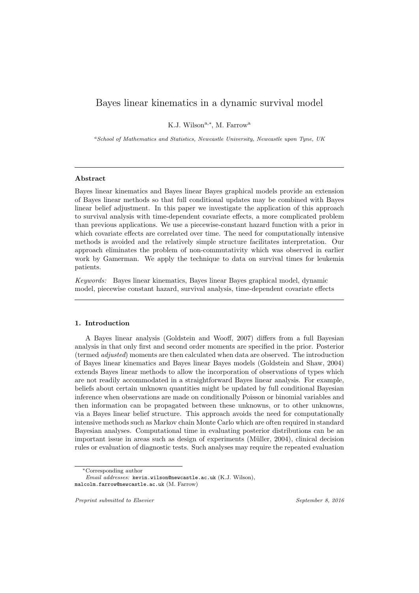# Bayes linear kinematics in a dynamic survival model

K.J. Wilson<sup>a,\*</sup>, M. Farrow<sup>a</sup>

<sup>a</sup>School of Mathematics and Statistics, Newcastle University, Newcastle upon Tyne, UK

# Abstract

Bayes linear kinematics and Bayes linear Bayes graphical models provide an extension of Bayes linear methods so that full conditional updates may be combined with Bayes linear belief adjustment. In this paper we investigate the application of this approach to survival analysis with time-dependent covariate effects, a more complicated problem than previous applications. We use a piecewise-constant hazard function with a prior in which covariate effects are correlated over time. The need for computationally intensive methods is avoided and the relatively simple structure facilitates interpretation. Our approach eliminates the problem of non-commutativity which was observed in earlier work by Gamerman. We apply the technique to data on survival times for leukemia patients.

Keywords: Bayes linear kinematics, Bayes linear Bayes graphical model, dynamic model, piecewise constant hazard, survival analysis, time-dependent covariate effects

#### 1. Introduction

A Bayes linear analysis (Goldstein and Wooff, 2007) differs from a full Bayesian analysis in that only first and second order moments are specified in the prior. Posterior (termed adjusted) moments are then calculated when data are observed. The introduction of Bayes linear kinematics and Bayes linear Bayes models (Goldstein and Shaw, 2004) extends Bayes linear methods to allow the incorporation of observations of types which are not readily accommodated in a straightforward Bayes linear analysis. For example, beliefs about certain unknown quantities might be updated by full conditional Bayesian inference when observations are made on conditionally Poisson or binomial variables and then information can be propagated between these unknowns, or to other unknowns, via a Bayes linear belief structure. This approach avoids the need for computationally intensive methods such as Markov chain Monte Carlo which are often required in standard Bayesian analyses. Computational time in evaluating posterior distributions can be an important issue in areas such as design of experiments (M¨uller, 2004), clinical decision rules or evaluation of diagnostic tests. Such analyses may require the repeated evaluation

Preprint submitted to Elsevier September 8, 2016

<sup>∗</sup>Corresponding author

Email addresses: kevin.wilson@newcastle.ac.uk (K.J. Wilson), malcolm.farrow@newcastle.ac.uk (M. Farrow)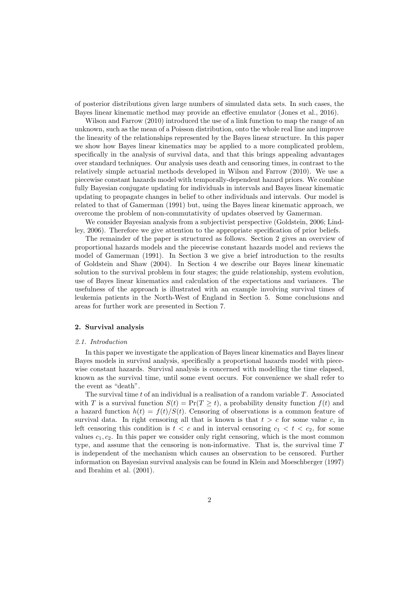of posterior distributions given large numbers of simulated data sets. In such cases, the Bayes linear kinematic method may provide an effective emulator (Jones et al., 2016).

Wilson and Farrow (2010) introduced the use of a link function to map the range of an unknown, such as the mean of a Poisson distribution, onto the whole real line and improve the linearity of the relationships represented by the Bayes linear structure. In this paper we show how Bayes linear kinematics may be applied to a more complicated problem, specifically in the analysis of survival data, and that this brings appealing advantages over standard techniques. Our analysis uses death and censoring times, in contrast to the relatively simple actuarial methods developed in Wilson and Farrow (2010). We use a piecewise constant hazards model with temporally-dependent hazard priors. We combine fully Bayesian conjugate updating for individuals in intervals and Bayes linear kinematic updating to propagate changes in belief to other individuals and intervals. Our model is related to that of Gamerman (1991) but, using the Bayes linear kinematic approach, we overcome the problem of non-commutativity of updates observed by Gamerman.

We consider Bayesian analysis from a subjectivist perspective (Goldstein, 2006; Lindley, 2006). Therefore we give attention to the appropriate specification of prior beliefs.

The remainder of the paper is structured as follows. Section 2 gives an overview of proportional hazards models and the piecewise constant hazards model and reviews the model of Gamerman (1991). In Section 3 we give a brief introduction to the results of Goldstein and Shaw (2004). In Section 4 we describe our Bayes linear kinematic solution to the survival problem in four stages; the guide relationship, system evolution, use of Bayes linear kinematics and calculation of the expectations and variances. The usefulness of the approach is illustrated with an example involving survival times of leukemia patients in the North-West of England in Section 5. Some conclusions and areas for further work are presented in Section 7.

# 2. Survival analysis

#### 2.1. Introduction

In this paper we investigate the application of Bayes linear kinematics and Bayes linear Bayes models in survival analysis, specifically a proportional hazards model with piecewise constant hazards. Survival analysis is concerned with modelling the time elapsed, known as the survival time, until some event occurs. For convenience we shall refer to the event as "death".

The survival time t of an individual is a realisation of a random variable T. Associated with T is a survival function  $S(t) = Pr(T \ge t)$ , a probability density function  $f(t)$  and a hazard function  $h(t) = f(t)/S(t)$ . Censoring of observations is a common feature of survival data. In right censoring all that is known is that  $t > c$  for some value c, in left censoring this condition is  $t < c$  and in interval censoring  $c_1 < t < c_2$ , for some values  $c_1, c_2$ . In this paper we consider only right censoring, which is the most common type, and assume that the censoring is non-informative. That is, the survival time  $T$ is independent of the mechanism which causes an observation to be censored. Further information on Bayesian survival analysis can be found in Klein and Moeschberger (1997) and Ibrahim et al. (2001).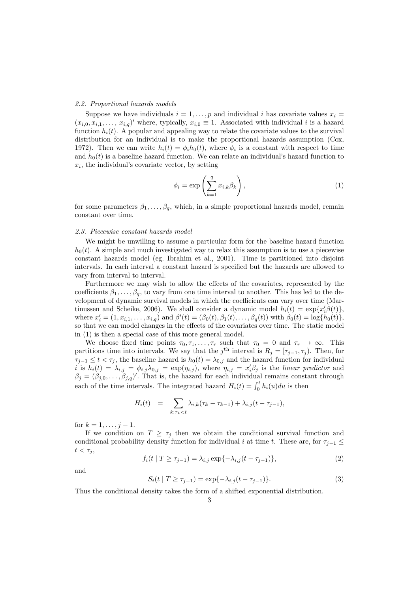#### 2.2. Proportional hazards models

Suppose we have individuals  $i = 1, \ldots, p$  and individual i has covariate values  $x_i =$  $(x_{i,0}, x_{i,1}, \ldots, x_{i,q})'$  where, typically,  $x_{i,0} \equiv 1$ . Associated with individual i is a hazard function  $h_i(t)$ . A popular and appealing way to relate the covariate values to the survival distribution for an individual is to make the proportional hazards assumption (Cox, 1972). Then we can write  $h_i(t) = \phi_i h_0(t)$ , where  $\phi_i$  is a constant with respect to time and  $h_0(t)$  is a baseline hazard function. We can relate an individual's hazard function to  $x_i$ , the individual's covariate vector, by setting

$$
\phi_i = \exp\left(\sum_{k=1}^q x_{i,k} \beta_k\right),\tag{1}
$$

for some parameters  $\beta_1, \ldots, \beta_q$ , which, in a simple proportional hazards model, remain constant over time.

# 2.3. Piecewise constant hazards model

We might be unwilling to assume a particular form for the baseline hazard function  $h_0(t)$ . A simple and much investigated way to relax this assumption is to use a piecewise constant hazards model (eg. Ibrahim et al., 2001). Time is partitioned into disjoint intervals. In each interval a constant hazard is specified but the hazards are allowed to vary from interval to interval.

Furthermore we may wish to allow the effects of the covariates, represented by the coefficients  $\beta_1, \ldots, \beta_q$ , to vary from one time interval to another. This has led to the development of dynamic survival models in which the coefficients can vary over time (Martinussen and Scheike, 2006). We shall consider a dynamic model  $h_i(t) = \exp\{x_i^{\prime}\beta(t)\},$ where  $x'_{i} = (1, x_{i,1}, \ldots, x_{i,q})$  and  $\beta'(t) = (\beta_0(t), \beta_1(t), \ldots, \beta_q(t))$  with  $\beta_0(t) = \log\{h_0(t)\},$ so that we can model changes in the effects of the covariates over time. The static model in (1) is then a special case of this more general model.

We choose fixed time points  $\tau_0, \tau_1, \ldots, \tau_r$  such that  $\tau_0 = 0$  and  $\tau_r \to \infty$ . This partitions time into intervals. We say that the j<sup>th</sup> interval is  $R_j = [\tau_{j-1}, \tau_j)$ . Then, for  $\tau_{j-1} \leq t < \tau_j$ , the baseline hazard is  $h_0(t) = \lambda_{0,j}$  and the hazard function for individual i is  $h_i(t) = \lambda_{i,j} = \phi_{i,j}\lambda_{0,j} = \exp(\eta_{i,j}),$  where  $\eta_{i,j} = x_i'\beta_j$  is the linear predictor and  $\beta_j = (\beta_{j,0}, \ldots, \beta_{j,q})'$ . That is, the hazard for each individual remains constant through each of the time intervals. The integrated hazard  $H_i(t) = \int_0^t h_i(u)du$  is then

$$
H_i(t) = \sum_{k:\tau_k < t} \lambda_{i,k} (\tau_k - \tau_{k-1}) + \lambda_{i,j} (t - \tau_{j-1}),
$$

for  $k = 1, \ldots, j - 1$ .

If we condition on  $T \geq \tau_j$  then we obtain the conditional survival function and conditional probability density function for individual i at time t. These are, for  $\tau_{j-1} \leq$  $t < \tau_j$ ,

$$
f_i(t | T \ge \tau_{j-1}) = \lambda_{i,j} \exp\{-\lambda_{i,j}(t - \tau_{j-1})\},\tag{2}
$$

and

$$
S_i(t | T \ge \tau_{j-1}) = \exp\{-\lambda_{i,j}(t - \tau_{j-1})\}.
$$
 (3)

Thus the conditional density takes the form of a shifted exponential distribution.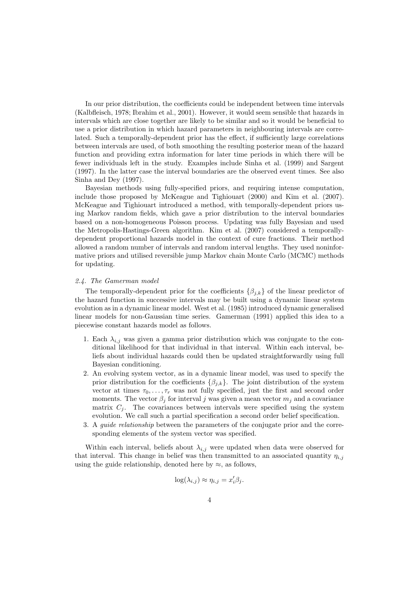In our prior distribution, the coefficients could be independent between time intervals (Kalbfleisch, 1978; Ibrahim et al., 2001). However, it would seem sensible that hazards in intervals which are close together are likely to be similar and so it would be beneficial to use a prior distribution in which hazard parameters in neighbouring intervals are correlated. Such a temporally-dependent prior has the effect, if sufficiently large correlations between intervals are used, of both smoothing the resulting posterior mean of the hazard function and providing extra information for later time periods in which there will be fewer individuals left in the study. Examples include Sinha et al. (1999) and Sargent (1997). In the latter case the interval boundaries are the observed event times. See also Sinha and Dey (1997).

Bayesian methods using fully-specified priors, and requiring intense computation, include those proposed by McKeague and Tighiouart (2000) and Kim et al. (2007). McKeague and Tighiouart introduced a method, with temporally-dependent priors using Markov random fields, which gave a prior distribution to the interval boundaries based on a non-homogeneous Poisson process. Updating was fully Bayesian and used the Metropolis-Hastings-Green algorithm. Kim et al. (2007) considered a temporallydependent proportional hazards model in the context of cure fractions. Their method allowed a random number of intervals and random interval lengths. They used noninformative priors and utilised reversible jump Markov chain Monte Carlo (MCMC) methods for updating.

# 2.4. The Gamerman model

The temporally-dependent prior for the coefficients  $\{\beta_{j,k}\}\$  of the linear predictor of the hazard function in successive intervals may be built using a dynamic linear system evolution as in a dynamic linear model. West et al. (1985) introduced dynamic generalised linear models for non-Gaussian time series. Gamerman (1991) applied this idea to a piecewise constant hazards model as follows.

- 1. Each  $\lambda_{i,j}$  was given a gamma prior distribution which was conjugate to the conditional likelihood for that individual in that interval. Within each interval, beliefs about individual hazards could then be updated straightforwardly using full Bayesian conditioning.
- 2. An evolving system vector, as in a dynamic linear model, was used to specify the prior distribution for the coefficients  $\{\beta_{j,k}\}.$  The joint distribution of the system vector at times  $\tau_0, \ldots, \tau_r$  was not fully specified, just the first and second order moments. The vector  $\beta_j$  for interval j was given a mean vector  $m_j$  and a covariance matrix  $C_j$ . The covariances between intervals were specified using the system evolution. We call such a partial specification a second order belief specification.
- 3. A guide relationship between the parameters of the conjugate prior and the corresponding elements of the system vector was specified.

Within each interval, beliefs about  $\lambda_{i,j}$  were updated when data were observed for that interval. This change in belief was then transmitted to an associated quantity  $\eta_{i,j}$ using the guide relationship, denoted here by  $\approx$ , as follows,

$$
\log(\lambda_{i,j}) \approx \eta_{i,j} = x'_i \beta_j.
$$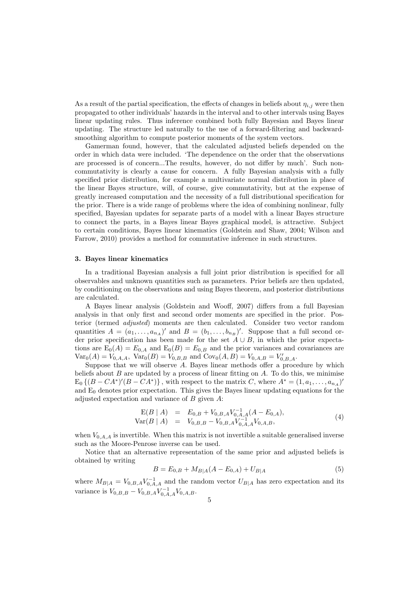As a result of the partial specification, the effects of changes in beliefs about  $\eta_{i,j}$  were then propagated to other individuals' hazards in the interval and to other intervals using Bayes linear updating rules. Thus inference combined both fully Bayesian and Bayes linear updating. The structure led naturally to the use of a forward-filtering and backwardsmoothing algorithm to compute posterior moments of the system vectors.

Gamerman found, however, that the calculated adjusted beliefs depended on the order in which data were included. 'The dependence on the order that the observations are processed is of concern...The results, however, do not differ by much'. Such noncommutativity is clearly a cause for concern. A fully Bayesian analysis with a fully specified prior distribution, for example a multivariate normal distribution in place of the linear Bayes structure, will, of course, give commutativity, but at the expense of greatly increased computation and the necessity of a full distributional specification for the prior. There is a wide range of problems where the idea of combining nonlinear, fully specified, Bayesian updates for separate parts of a model with a linear Bayes structure to connect the parts, in a Bayes linear Bayes graphical model, is attractive. Subject to certain conditions, Bayes linear kinematics (Goldstein and Shaw, 2004; Wilson and Farrow, 2010) provides a method for commutative inference in such structures.

### 3. Bayes linear kinematics

In a traditional Bayesian analysis a full joint prior distribution is specified for all observables and unknown quantities such as parameters. Prior beliefs are then updated, by conditioning on the observations and using Bayes theorem, and posterior distributions are calculated.

A Bayes linear analysis (Goldstein and Wooff, 2007) differs from a full Bayesian analysis in that only first and second order moments are specified in the prior. Posterior (termed adjusted) moments are then calculated. Consider two vector random quantities  $A = (a_1, \ldots, a_{n_A})'$  and  $B = (b_1, \ldots, b_{n_B})'$ . Suppose that a full second order prior specification has been made for the set  $A \cup B$ , in which the prior expectations are  $E_0(A) = E_{0,A}$  and  $E_0(B) = E_{0,B}$  and the prior variances and covariances are  $Var_0(A) = V_{0,A,A}$ ,  $Var_0(B) = V_{0,B,B}$  and  $Cov_0(A, B) = V_{0,A,B} = V'_{0,B,A}$ .

Suppose that we will observe A. Bayes linear methods offer a procedure by which beliefs about  $B$  are updated by a process of linear fitting on  $A$ . To do this, we minimise  $E_0 \{(B - CA^*)'(B - CA^*)\},$  with respect to the matrix C, where  $A^* = (1, a_1, \ldots, a_{n_A})'$ and  $E_0$  denotes prior expectation. This gives the Bayes linear updating equations for the adjusted expectation and variance of B given A:

$$
E(B \mid A) = E_{0,B} + V_{0,B,A} V_{0,A,A}^{-1}(A - E_{0,A}),
$$
  
\n
$$
Var(B \mid A) = V_{0,B,B} - V_{0,B,A} V_{0,A,A}^{-1} V_{0,A,B},
$$
\n(4)

when  $V_{0,A,A}$  is invertible. When this matrix is not invertible a suitable generalised inverse such as the Moore-Penrose inverse can be used.

Notice that an alternative representation of the same prior and adjusted beliefs is obtained by writing

$$
B = E_{0,B} + M_{B|A}(A - E_{0,A}) + U_{B|A}
$$
\n<sup>(5)</sup>

where  $M_{B|A} = V_{0,B,A} V_{0,A,A}^{-1}$  and the random vector  $U_{B|A}$  has zero expectation and its variance is  $V_{0,B,B} - V_{0,B,A} V_{0,A,A}^{-1} V_{0,A,B}$ .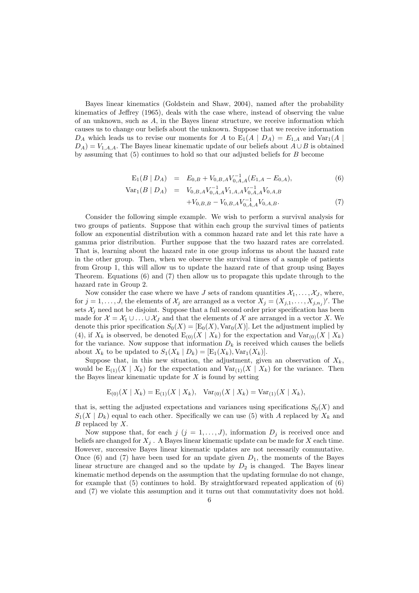Bayes linear kinematics (Goldstein and Shaw, 2004), named after the probability kinematics of Jeffrey (1965), deals with the case where, instead of observing the value of an unknown, such as A, in the Bayes linear structure, we receive information which causes us to change our beliefs about the unknown. Suppose that we receive information  $D_A$  which leads us to revise our moments for A to  $E_1(A | D_A) = E_{1,A}$  and  $Var_1(A | D_A)$  $D_A$ ) =  $V_{1,A,A}$ . The Bayes linear kinematic update of our beliefs about  $A \cup B$  is obtained by assuming that (5) continues to hold so that our adjusted beliefs for B become

$$
E_1(B \mid D_A) = E_{0,B} + V_{0,B,A} V_{0,A,A}^{-1}(E_{1,A} - E_{0,A}), \tag{6}
$$

$$
Var_1(B | D_A) = V_{0,B,A} V_{0,A,A}^{-1} V_{1,A,A} V_{0,A,A}^{-1} V_{0,A,B}
$$
  
+
$$
V_{0,B,B} - V_{0,B,A} V_{0,A,A}^{-1} V_{0,A,B}.
$$
 (7)

Consider the following simple example. We wish to perform a survival analysis for two groups of patients. Suppose that within each group the survival times of patients follow an exponential distribution with a common hazard rate and let this rate have a gamma prior distribution. Further suppose that the two hazard rates are correlated. That is, learning about the hazard rate in one group informs us about the hazard rate in the other group. Then, when we observe the survival times of a sample of patients from Group 1, this will allow us to update the hazard rate of that group using Bayes Theorem. Equations (6) and (7) then allow us to propagate this update through to the hazard rate in Group 2.

Now consider the case where we have J sets of random quantities  $\mathcal{X}_1, \ldots, \mathcal{X}_J$ , where, for  $j = 1, \ldots, J$ , the elements of  $\mathcal{X}_j$  are arranged as a vector  $X_j = (X_{j,1}, \ldots, X_{j,n_j})'$ . The sets  $\mathcal{X}_i$  need not be disjoint. Suppose that a full second order prior specification has been made for  $\mathcal{X} = \mathcal{X}_1 \cup \ldots \cup \mathcal{X}_J$  and that the elements of X are arranged in a vector X. We denote this prior specification  $S_0(X) = [E_0(X), Var_0(X)]$ . Let the adjustment implied by (4), if  $X_k$  is observed, be denoted  $E_{(0)}(X | X_k)$  for the expectation and  $Var_{(0)}(X | X_k)$ for the variance. Now suppose that information  $D_k$  is received which causes the beliefs about  $X_k$  to be updated to  $S_1(X_k | D_k) = [E_1(X_k), \text{Var}_1(X_k)].$ 

Suppose that, in this new situation, the adjustment, given an observation of  $X_k$ , would be  $E_{(1)}(X | X_k)$  for the expectation and  $Var_{(1)}(X | X_k)$  for the variance. Then the Bayes linear kinematic update for  $X$  is found by setting

$$
E_{(0)}(X \mid X_k) = E_{(1)}(X \mid X_k), \quad \text{Var}_{(0)}(X \mid X_k) = \text{Var}_{(1)}(X \mid X_k),
$$

that is, setting the adjusted expectations and variances using specifications  $S_0(X)$  and  $S_1(X | D_k)$  equal to each other. Specifically we can use (5) with A replaced by  $X_k$  and  $B$  replaced by  $X$ .

Now suppose that, for each  $j$   $(j = 1, \ldots, J)$ , information  $D_j$  is received once and beliefs are changed for  $X_j$ . A Bayes linear kinematic update can be made for X each time. However, successive Bayes linear kinematic updates are not necessarily commutative. Once (6) and (7) have been used for an update given  $D_1$ , the moments of the Bayes linear structure are changed and so the update by  $D_2$  is changed. The Bayes linear kinematic method depends on the assumption that the updating formulae do not change, for example that  $(5)$  continues to hold. By straightforward repeated application of  $(6)$ and (7) we violate this assumption and it turns out that commutativity does not hold.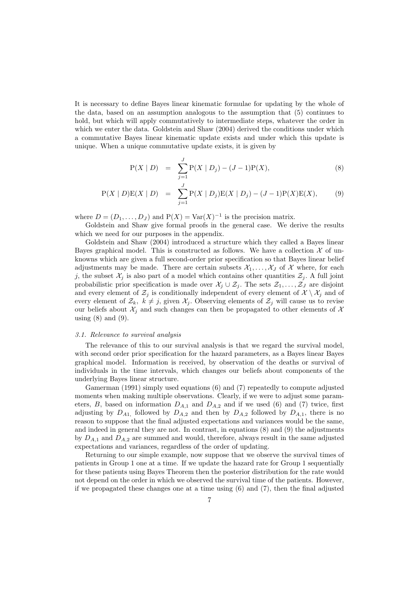It is necessary to define Bayes linear kinematic formulae for updating by the whole of the data, based on an assumption analogous to the assumption that (5) continues to hold, but which will apply commutatively to intermediate steps, whatever the order in which we enter the data. Goldstein and Shaw (2004) derived the conditions under which a commutative Bayes linear kinematic update exists and under which this update is unique. When a unique commutative update exists, it is given by

$$
P(X | D) = \sum_{j=1}^{J} P(X | D_j) - (J - 1)P(X), \qquad (8)
$$

$$
P(X | D)E(X | D) = \sum_{j=1}^{J} P(X | D_j)E(X | D_j) - (J - 1)P(X)E(X), \qquad (9)
$$

where  $D = (D_1, \ldots, D_J)$  and  $P(X) = Var(X)^{-1}$  is the precision matrix.

Goldstein and Shaw give formal proofs in the general case. We derive the results which we need for our purposes in the appendix.

Goldstein and Shaw (2004) introduced a structure which they called a Bayes linear Bayes graphical model. This is constructed as follows. We have a collection  $\mathcal X$  of unknowns which are given a full second-order prior specification so that Bayes linear belief adjustments may be made. There are certain subsets  $X_1, \ldots, X_J$  of X where, for each j, the subset  $\mathcal{X}_i$  is also part of a model which contains other quantities  $\mathcal{Z}_i$ . A full joint probabilistic prior specification is made over  $\mathcal{X}_j \cup \mathcal{Z}_j$ . The sets  $\mathcal{Z}_1, \ldots, \mathcal{Z}_J$  are disjoint and every element of  $\mathcal{Z}_j$  is conditionally independent of every element of  $\mathcal{X} \setminus \mathcal{X}_j$  and of every element of  $\mathcal{Z}_k$ ,  $k \neq j$ , given  $\mathcal{X}_j$ . Observing elements of  $\mathcal{Z}_j$  will cause us to revise our beliefs about  $\mathcal{X}_j$  and such changes can then be propagated to other elements of X using  $(8)$  and  $(9)$ .

### 3.1. Relevance to survival analysis

The relevance of this to our survival analysis is that we regard the survival model, with second order prior specification for the hazard parameters, as a Bayes linear Bayes graphical model. Information is received, by observation of the deaths or survival of individuals in the time intervals, which changes our beliefs about components of the underlying Bayes linear structure.

Gamerman (1991) simply used equations (6) and (7) repeatedly to compute adjusted moments when making multiple observations. Clearly, if we were to adjust some parameters, B, based on information  $D_{A,1}$  and  $D_{A,2}$  and if we used (6) and (7) twice, first adjusting by  $D_{A1}$ , followed by  $D_{A2}$  and then by  $D_{A2}$  followed by  $D_{A1}$ , there is no reason to suppose that the final adjusted expectations and variances would be the same, and indeed in general they are not. In contrast, in equations (8) and (9) the adjustments by  $D_{A,1}$  and  $D_{A,2}$  are summed and would, therefore, always result in the same adjusted expectations and variances, regardless of the order of updating.

Returning to our simple example, now suppose that we observe the survival times of patients in Group 1 one at a time. If we update the hazard rate for Group 1 sequentially for these patients using Bayes Theorem then the posterior distribution for the rate would not depend on the order in which we observed the survival time of the patients. However, if we propagated these changes one at a time using (6) and (7), then the final adjusted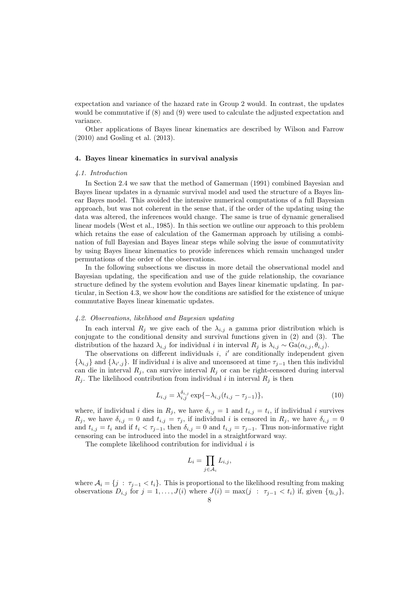expectation and variance of the hazard rate in Group 2 would. In contrast, the updates would be commutative if (8) and (9) were used to calculate the adjusted expectation and variance.

Other applications of Bayes linear kinematics are described by Wilson and Farrow (2010) and Gosling et al. (2013).

#### 4. Bayes linear kinematics in survival analysis

#### 4.1. Introduction

In Section 2.4 we saw that the method of Gamerman (1991) combined Bayesian and Bayes linear updates in a dynamic survival model and used the structure of a Bayes linear Bayes model. This avoided the intensive numerical computations of a full Bayesian approach, but was not coherent in the sense that, if the order of the updating using the data was altered, the inferences would change. The same is true of dynamic generalised linear models (West et al., 1985). In this section we outline our approach to this problem which retains the ease of calculation of the Gamerman approach by utilising a combination of full Bayesian and Bayes linear steps while solving the issue of commutativity by using Bayes linear kinematics to provide inferences which remain unchanged under permutations of the order of the observations.

In the following subsections we discuss in more detail the observational model and Bayesian updating, the specification and use of the guide relationship, the covariance structure defined by the system evolution and Bayes linear kinematic updating. In particular, in Section 4.3, we show how the conditions are satisfied for the existence of unique commutative Bayes linear kinematic updates.

#### 4.2. Observations, likelihood and Bayesian updating

In each interval  $R_i$  we give each of the  $\lambda_{i,j}$  a gamma prior distribution which is conjugate to the conditional density and survival functions given in (2) and (3). The distribution of the hazard  $\lambda_{i,j}$  for individual i in interval  $R_i$  is  $\lambda_{i,j} \sim \text{Ga}(\alpha_{i,j}, \theta_{i,j}).$ 

The observations on different individuals  $i, i'$  are conditionally independent given  $\{\lambda_{i,j}\}\$  and  $\{\lambda_{i',j}\}\$ . If individual i is alive and uncensored at time  $\tau_{j-1}$  then this individul can die in interval  $R_j$ , can survive interval  $R_j$  or can be right-censored during interval  $R_i$ . The likelihood contribution from individual i in interval  $R_i$  is then

$$
L_{i,j} = \lambda_{i,j}^{\delta_{i,j}} \exp\{-\lambda_{i,j}(t_{i,j} - \tau_{j-1})\},\tag{10}
$$

where, if individual i dies in  $R_j$ , we have  $\delta_{i,j} = 1$  and  $t_{i,j} = t_i$ , if individual i survives  $R_j$ , we have  $\delta_{i,j} = 0$  and  $t_{i,j} = \tau_j$ , if individual i is censored in  $R_j$ , we have  $\delta_{i,j} = 0$ and  $t_{i,j} = t_i$  and if  $t_i < \tau_{j-1}$ , then  $\delta_{i,j} = 0$  and  $t_{i,j} = \tau_{j-1}$ . Thus non-informative right censoring can be introduced into the model in a straightforward way.

The complete likelihood contribution for individual  $i$  is

$$
L_i = \prod_{j \in \mathcal{A}_i} L_{i,j},
$$

where  $A_i = \{j : \tau_{j-1} < t_i\}$ . This is proportional to the likelihood resulting from making observations  $D_{i,j}$  for  $j = 1, \ldots, J(i)$  where  $J(i) = \max(j : \tau_{j-1} < t_i)$  if, given  $\{\eta_{i,j}\},$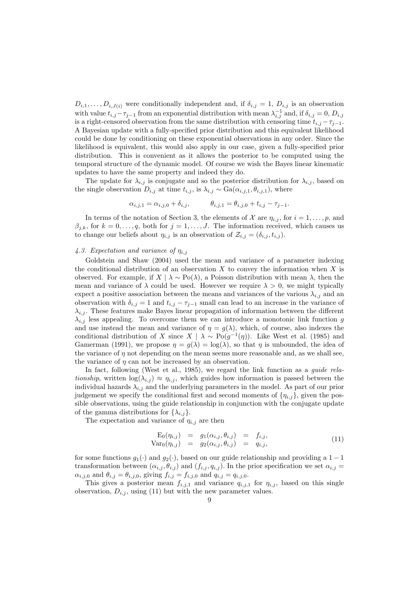$D_{i,1}, \ldots, D_{i,J(i)}$  were conditionally independent and, if  $\delta_{i,j} = 1, D_{i,j}$  is an observation with value  $t_{i,j}-\tau_{j-1}$  from an exponential distribution with mean  $\lambda_{i,j}^{-1}$  and, if  $\delta_{i,j}=0, D_{i,j}$ is a right-censored observation from the same distribution with censoring time  $t_{i,j} - \tau_{j-1}$ . A Bayesian update with a fully-specified prior distribution and this equivalent likelihood could be done by conditioning on these exponential observations in any order. Since the likelihood is equivalent, this would also apply in our case, given a fully-specified prior distribution. This is convenient as it allows the posterior to be computed using the temporal structure of the dynamic model. Of course we wish the Bayes linear kinematic updates to have the same property and indeed they do.

The update for  $\lambda_{i,j}$  is conjugate and so the posterior distribution for  $\lambda_{i,j}$ , based on the single observation  $D_{i,j}$  at time  $t_{i,j}$ , is  $\lambda_{i,j} \sim \text{Ga}(\alpha_{i,j,1}, \theta_{i,j,1})$ , where

$$
\alpha_{i,j,1} = \alpha_{i,j,0} + \delta_{i,j}, \qquad \theta_{i,j,1} = \theta_{i,j,0} + t_{i,j} - \tau_{j-1}.
$$

In terms of the notation of Section 3, the elements of X are  $\eta_{i,j}$ , for  $i = 1, \ldots, p$ , and  $\beta_{j,k}$ , for  $k = 0, \ldots, q$ , both for  $j = 1, \ldots, J$ . The information received, which causes us to change our beliefs about  $\eta_{i,j}$  is an observation of  $\mathcal{Z}_{i,j} = (\delta_{i,j}, t_{i,j}).$ 

# 4.3. Expectation and variance of  $\eta_{i,j}$

Goldstein and Shaw (2004) used the mean and variance of a parameter indexing the conditional distribution of an observation  $X$  to convey the information when  $X$  is observed. For example, if  $X \mid \lambda \sim Po(\lambda)$ , a Poisson distribution with mean  $\lambda$ , then the mean and variance of  $\lambda$  could be used. However we require  $\lambda > 0$ , we might typically expect a positive association between the means and variances of the various  $\lambda_{i,j}$  and an observation with  $\delta_{i,j} = 1$  and  $t_{i,j} - \tau_{j-1}$  small can lead to an increase in the variance of  $\lambda_{i,j}$ . These features make Bayes linear propagation of information between the different  $\lambda_{i,j}$  less appealing. To overcome them we can introduce a monotonic link function g and use instead the mean and variance of  $\eta = g(\lambda)$ , which, of course, also indexes the conditional distribution of X since  $X \mid \lambda \sim Po(g^{-1}(\eta))$ . Like West et al. (1985) and Gamerman (1991), we propose  $\eta = g(\lambda) = \log(\lambda)$ , so that  $\eta$  is unbounded, the idea of the variance of  $\eta$  not depending on the mean seems more reasonable and, as we shall see, the variance of  $\eta$  can not be increased by an observation.

In fact, following (West et al., 1985), we regard the link function as a *guide rela*tionship, written  $\log(\lambda_{i,j}) \approx \eta_{i,j}$ , which guides how information is passed between the individual hazards  $\lambda_{i,j}$  and the underlying parameters in the model. As part of our prior judgement we specify the conditional first and second moments of  $\{\eta_{i,j}\}$ , given the possible observations, using the guide relationship in conjunction with the conjugate update of the gamma distributions for  $\{\lambda_{i,j}\}.$ 

The expectation and variance of  $\eta_{i,j}$  are then

$$
\begin{array}{rcl}\n\mathbf{E}_0(\eta_{i,j}) & = & g_1(\alpha_{i,j}, \theta_{i,j}) & = & f_{i,j}, \\
\text{Var}_0(\eta_{i,j}) & = & g_2(\alpha_{i,j}, \theta_{i,j}) & = & q_{i,j},\n\end{array} \tag{11}
$$

for some functions  $g_1(\cdot)$  and  $g_2(\cdot)$ , based on our guide relationship and providing a 1 − 1 transformation between  $(\alpha_{i,j}, \theta_{i,j})$  and  $(f_{i,j}, q_{i,j})$ . In the prior specification we set  $\alpha_{i,j}$  $\alpha_{i,j,0}$  and  $\theta_{i,j} = \theta_{i,j,0}$ , giving  $f_{i,j} = f_{i,j,0}$  and  $q_{i,j} = q_{i,j,0}$ .

This gives a posterior mean  $f_{i,j,1}$  and variance  $q_{i,j,1}$  for  $\eta_{i,j}$ , based on this single observation,  $D_{i,j}$ , using (11) but with the new parameter values.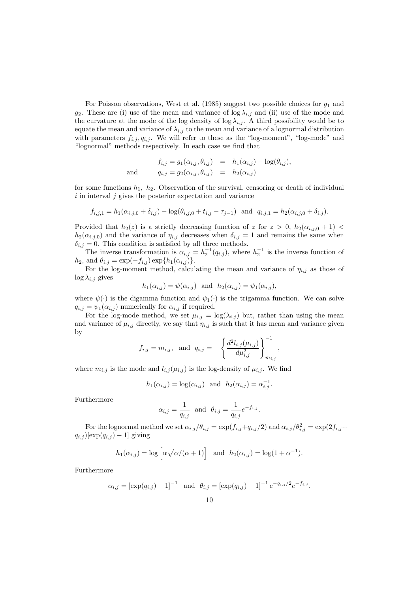For Poisson observations, West et al.  $(1985)$  suggest two possible choices for  $g_1$  and g<sub>2</sub>. These are (i) use of the mean and variance of  $\log \lambda_{i,j}$  and (ii) use of the mode and the curvature at the mode of the log density of log  $\lambda_{i,j}$ . A third possibility would be to equate the mean and variance of  $\lambda_{i,j}$  to the mean and variance of a lognormal distribution with parameters  $f_{i,j}$ ,  $q_{i,j}$ . We will refer to these as the "log-moment", "log-mode" and "lognormal" methods respectively. In each case we find that

$$
f_{i,j} = g_1(\alpha_{i,j}, \theta_{i,j}) = h_1(\alpha_{i,j}) - \log(\theta_{i,j}),
$$
  
and 
$$
q_{i,j} = g_2(\alpha_{i,j}, \theta_{i,j}) = h_2(\alpha_{i,j})
$$

for some functions  $h_1$ ,  $h_2$ . Observation of the survival, censoring or death of individual  $i$  in interval  $j$  gives the posterior expectation and variance

$$
f_{i,j,1} = h_1(\alpha_{i,j,0} + \delta_{i,j}) - \log(\theta_{i,j,0} + t_{i,j} - \tau_{j-1})
$$
 and  $q_{i,j,1} = h_2(\alpha_{i,j,0} + \delta_{i,j}).$ 

Provided that  $h_2(z)$  is a strictly decreasing function of z for  $z > 0$ ,  $h_2(\alpha_{i,j,0} + 1)$  $h_2(\alpha_{i,j,0})$  and the variance of  $\eta_{i,j}$  decreases when  $\delta_{i,j} = 1$  and remains the same when  $\delta_{i,j} = 0$ . This condition is satisfied by all three methods.

The inverse transformation is  $\alpha_{i,j} = h_2^{-1}(q_{i,j})$ , where  $h_2^{-1}$  is the inverse function of  $h_2$ , and  $\theta_{i,j} = \exp(-f_{i,j}) \exp\{h_1(\alpha_{i,j})\}.$ 

For the log-moment method, calculating the mean and variance of  $\eta_{i,j}$  as those of  $\log \lambda_{i,j}$  gives

$$
h_1(\alpha_{i,j}) = \psi(\alpha_{i,j}) \text{ and } h_2(\alpha_{i,j}) = \psi_1(\alpha_{i,j}),
$$

where  $\psi(\cdot)$  is the digamma function and  $\psi_1(\cdot)$  is the trigamma function. We can solve  $q_{i,j} = \psi_1(\alpha_{i,j})$  numerically for  $\alpha_{i,j}$  if required.

For the log-mode method, we set  $\mu_{i,j} = \log(\lambda_{i,j})$  but, rather than using the mean and variance of  $\mu_{i,j}$  directly, we say that  $\eta_{i,j}$  is such that it has mean and variance given by

$$
f_{i,j} = m_{i,j}
$$
, and  $q_{i,j} = -\left\{\frac{d^2 l_{i,j}(\mu_{i,j})}{d \mu_{i,j}^2}\right\}_{m_{i,j}}^{-1}$ ,

where  $m_{i,j}$  is the mode and  $l_{i,j}(\mu_{i,j})$  is the log-density of  $\mu_{i,j}$ . We find

$$
h_1(\alpha_{i,j}) = \log(\alpha_{i,j})
$$
 and  $h_2(\alpha_{i,j}) = \alpha_{i,j}^{-1}$ .

Furthermore

$$
\alpha_{i,j} = \frac{1}{q_{i,j}}
$$
 and  $\theta_{i,j} = \frac{1}{q_{i,j}} e^{-f_{i,j}}$ 

.

For the lognormal method we set  $\alpha_{i,j}/\theta_{i,j} = \exp(f_{i,j}+q_{i,j}/2)$  and  $\alpha_{i,j}/\theta_{i,j}^2 = \exp(2f_{i,j}+q_{i,j}/2)$  $q_{i,j}$ )[exp $(q_{i,j})-1$ ] giving

$$
h_1(\alpha_{i,j}) = \log \left[ \alpha \sqrt{\alpha/(\alpha+1)} \right]
$$
 and  $h_2(\alpha_{i,j}) = \log(1+\alpha^{-1}).$ 

Furthermore

$$
\alpha_{i,j} = [\exp(q_{i,j}) - 1]^{-1}
$$
 and  $\theta_{i,j} = [\exp(q_{i,j}) - 1]^{-1} e^{-q_{i,j}/2} e^{-f_{i,j}}$ .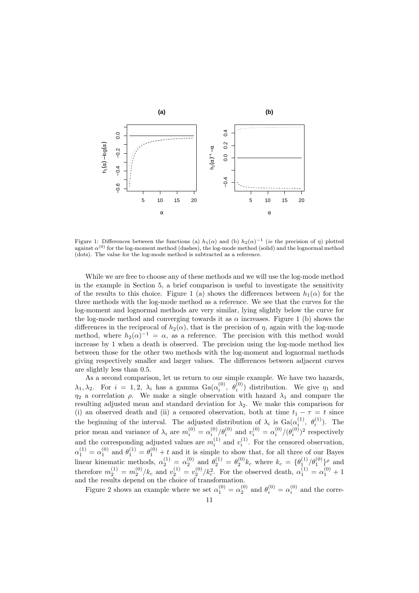

Figure 1: Differences between the functions (a)  $h_1(\alpha)$  and (b)  $h_2(\alpha)^{-1}$  (ie the precision of  $\eta$ ) plotted against  $\alpha^{(0)}$  for the log-moment method (dashes), the log-mode method (solid) and the lognormal method (dots). The value for the log-mode method is subtracted as a reference.

While we are free to choose any of these methods and we will use the log-mode method in the example in Section 5, a brief comparison is useful to investigate the sensitivity of the results to this choice. Figure 1 (a) shows the differences between  $h_1(\alpha)$  for the three methods with the log-mode method as a reference. We see that the curves for the log-moment and lognormal methods are very similar, lying slightly below the curve for the log-mode method and converging towards it as  $\alpha$  increases. Figure 1 (b) shows the differences in the reciprocal of  $h_2(\alpha)$ , that is the precision of  $\eta$ , again with the log-mode method, where  $h_2(\alpha)^{-1} = \alpha$ , as a reference. The precision with this method would increase by 1 when a death is observed. The precision using the log-mode method lies between those for the other two methods with the log-moment and lognormal methods giving respectively smaller and larger values. The differences between adjacent curves are slightly less than 0.5.

As a second comparison, let us return to our simple example. We have two hazards,  $\lambda_1, \lambda_2$ . For  $i = 1, 2, \lambda_i$  has a gamma  $Ga(\alpha_i^{(0)}, \theta_i^{(0)})$  distribution. We give  $\eta_1$  and  $\eta_2$  a correlation  $\rho$ . We make a single observation with hazard  $\lambda_1$  and compare the resulting adjusted mean and standard deviation for  $\lambda_2$ . We make this comparison for (i) an observed death and (ii) a censored observation, both at time  $t_1 - \tau = t$  since the beginning of the interval. The adjusted distribution of  $\lambda_i$  is  $Ga(\alpha_i^{(1)}, \theta_i^{(1)})$ . The prior mean and variance of  $\lambda_i$  are  $m_i^{(0)} = \alpha_i^{(0)}/\theta_i^{(0)}$  and  $v_i^{(0)} = \alpha_i^{(0)}/(\theta_i^{(0)})^2$  respectively and the corresponding adjusted values are  $m_i^{(1)}$  and  $v_i^{(1)}$ . For the censored observation,  $\alpha_1^{(1)} = \alpha_1^{(0)}$  and  $\theta_1^{(1)} = \theta_1^{(0)} + t$  and it is simple to show that, for all three of our Bayes linear kinematic methods,  $\alpha_2^{(1)} = \alpha_2^{(0)}$  and  $\theta_2^{(1)} = \theta_2^{(0)} k_c$  where  $k_c = {\theta_1^{(1)}/\theta_1^{(0)}}$  and therefore  $m_2^{(1)} = m_2^{(0)}/k_c$  and  $v_2^{(1)} = v_2^{(0)}/k_c^2$ . For the observed death,  $\alpha_1^{(1)} = \alpha_1^{(0)} + 1$ and the results depend on the choice of transformation.

Figure 2 shows an example where we set  $\alpha_1^{(0)} = \alpha_2^{(0)}$  and  $\theta_i^{(0)} = \alpha_i^{(0)}$  and the corre-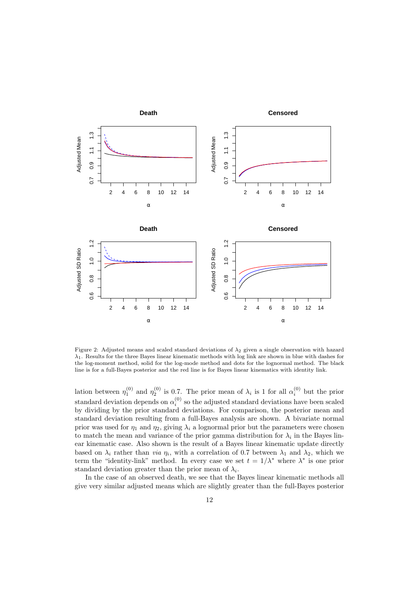

Figure 2: Adjusted means and scaled standard deviations of  $\lambda_2$  given a single observation with hazard  $\lambda_1$ . Results for the three Bayes linear kinematic methods with log link are shown in blue with dashes for the log-moment method, solid for the log-mode method and dots for the lognormal method. The black line is for a full-Bayes posterior and the red line is for Bayes linear kinematics with identity link.

lation between  $\eta_1^{(0)}$  and  $\eta_2^{(0)}$  is 0.7. The prior mean of  $\lambda_i$  is 1 for all  $\alpha_i^{(0)}$  but the prior standard deviation depends on  $\alpha_i^{(0)}$  so the adjusted standard deviations have been scaled by dividing by the prior standard deviations. For comparison, the posterior mean and standard deviation resulting from a full-Bayes analysis are shown. A bivariate normal prior was used for  $\eta_1$  and  $\eta_2$ , giving  $\lambda_i$  a lognormal prior but the parameters were chosen to match the mean and variance of the prior gamma distribution for  $\lambda_i$  in the Bayes linear kinematic case. Also shown is the result of a Bayes linear kinematic update directly based on  $\lambda_i$  rather than *via*  $\eta_i$ , with a correlation of 0.7 between  $\lambda_1$  and  $\lambda_2$ , which we term the "identity-link" method. In every case we set  $t = 1/\lambda^*$  where  $\lambda^*$  is one prior standard deviation greater than the prior mean of  $\lambda_i$ .

In the case of an observed death, we see that the Bayes linear kinematic methods all give very similar adjusted means which are slightly greater than the full-Bayes posterior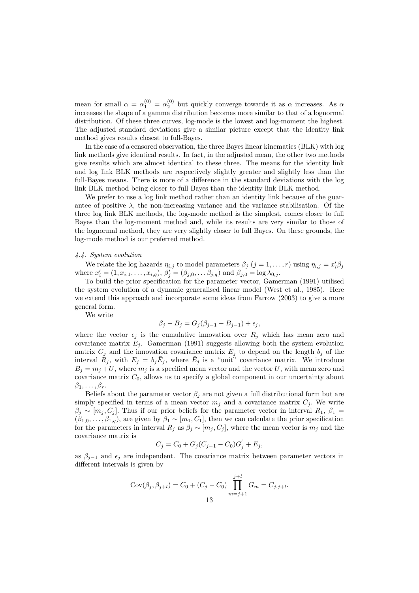mean for small  $\alpha = \alpha_1^{(0)} = \alpha_2^{(0)}$  but quickly converge towards it as  $\alpha$  increases. As  $\alpha$ increases the shape of a gamma distribution becomes more similar to that of a lognormal distribution. Of these three curves, log-mode is the lowest and log-moment the highest. The adjusted standard deviations give a similar picture except that the identity link method gives results closest to full-Bayes.

In the case of a censored observation, the three Bayes linear kinematics (BLK) with log link methods give identical results. In fact, in the adjusted mean, the other two methods give results which are almost identical to these three. The means for the identity link and log link BLK methods are respectively slightly greater and slightly less than the full-Bayes means. There is more of a difference in the standard deviations with the log link BLK method being closer to full Bayes than the identity link BLK method.

We prefer to use a log link method rather than an identity link because of the guarantee of positive  $\lambda$ , the non-increasing variance and the variance stabilisation. Of the three log link BLK methods, the log-mode method is the simplest, comes closer to full Bayes than the log-moment method and, while its results are very similar to those of the lognormal method, they are very slightly closer to full Bayes. On these grounds, the log-mode method is our preferred method.

## 4.4. System evolution

We relate the log hazards  $\eta_{i,j}$  to model parameters  $\beta_j$   $(j = 1, ..., r)$  using  $\eta_{i,j} = x_i' \beta_j$ where  $x'_{i} = (1, x_{i,1}, \ldots, x_{i,q}), \beta'_{j} = (\beta_{j,0}, \ldots, \beta_{j,q})$  and  $\beta_{j,0} = \log \lambda_{0,j}$ .

To build the prior specification for the parameter vector, Gamerman (1991) utilised the system evolution of a dynamic generalised linear model (West et al., 1985). Here we extend this approach and incorporate some ideas from Farrow (2003) to give a more general form.

We write

$$
\beta_j - B_j = G_j(\beta_{j-1} - B_{j-1}) + \epsilon_j,
$$

where the vector  $\epsilon_i$  is the cumulative innovation over  $R_i$  which has mean zero and covariance matrix  $E_j$ . Gamerman (1991) suggests allowing both the system evolution matrix  $G_j$  and the innovation covariance matrix  $E_j$  to depend on the length  $b_j$  of the interval  $R_j$ , with  $E_j = b_j \bar{E}_j$ , where  $\bar{E}_j$  is a "unit" covariance matrix. We introduce  $B_i = m_i + U$ , where  $m_i$  is a specified mean vector and the vector U, with mean zero and covariance matrix  $C_0$ , allows us to specify a global component in our uncertainty about  $\beta_1, \ldots, \beta_r$ .

Beliefs about the parameter vector  $\beta_i$  are not given a full distributional form but are simply specified in terms of a mean vector  $m_j$  and a covariance matrix  $C_j$ . We write  $\beta_j \sim [m_j, C_j]$ . Thus if our prior beliefs for the parameter vector in interval  $R_1, \beta_1 =$  $(\beta_{1,0},\ldots,\beta_{1,q})$ , are given by  $\beta_1 \sim [m_1,C_1]$ , then we can calculate the prior specification for the parameters in interval  $R_i$  as  $\beta_i \sim [m_i, C_i]$ , where the mean vector is  $m_i$  and the covariance matrix is

$$
C_j = C_0 + G_j(C_{j-1} - C_0)G'_j + E_j,
$$

as  $\beta_{i-1}$  and  $\epsilon_i$  are independent. The covariance matrix between parameter vectors in different intervals is given by

Cov
$$
(\beta_j, \beta_{j+l}) = C_0 + (C_j - C_0) \prod_{m=j+1}^{j+l} G_m = C_{j,j+l}.
$$
  
13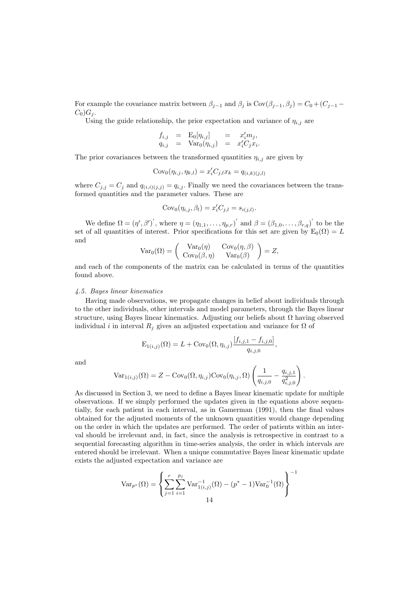For example the covariance matrix between  $\beta_{j-1}$  and  $\beta_j$  is Cov $(\beta_{j-1}, \beta_j) = C_0 + (C_{j-1} C_0$ ) $G_i$ .

Using the guide relationship, the prior expectation and variance of  $\eta_{i,j}$  are

$$
f_{i,j} = \mathrm{E}_0[\eta_{i,j}] = x'_i m_j,
$$
  
\n
$$
q_{i,j} = \mathrm{Var}_0(\eta_{i,j}) = x'_i C_j x_i.
$$

The prior covariances between the transformed quantities  $\eta_{i,j}$  are given by

$$
Cov_0(\eta_{i,j}, \eta_{k,l}) = x'_i C_{j,l} x_k = q_{(i,k)(j,l)}
$$

where  $C_{j,j} = C_j$  and  $q_{(i,i)(j,j)} = q_{i,j}$ . Finally we need the covariances between the transformed quantities and the parameter values. These are

$$
Cov_0(\eta_{i,j}, \beta_l) = x'_i C_{j,l} = s_{i(j,l)}.
$$

We define  $\Omega = (\eta', \beta')'$ , where  $\eta = (\eta_{1,1}, \ldots, \eta_{p,r})'$  and  $\beta = (\beta_{1,0}, \ldots, \beta_{r,q})'$  to be the set of all quantities of interest. Prior specifications for this set are given by  $E_0(\Omega) = L$ and

$$
Var_0(\Omega) = \begin{pmatrix} Var_0(\eta) & Cov_0(\eta, \beta) \\ Cov_0(\beta, \eta) & Var_0(\beta) \end{pmatrix} = Z,
$$

and each of the components of the matrix can be calculated in terms of the quantities found above.

#### 4.5. Bayes linear kinematics

Having made observations, we propagate changes in belief about individuals through to the other individuals, other intervals and model parameters, through the Bayes linear structure, using Bayes linear kinematics. Adjusting our beliefs about  $\Omega$  having observed individual i in interval  $R_i$  gives an adjusted expectation and variance for  $\Omega$  of

$$
E_{1(i,j)}(\Omega) = L + Cov_0(\Omega, \eta_{i,j}) \frac{[f_{i,j,1} - f_{i,j,0}]}{q_{i,j,0}},
$$

and

$$
\text{Var}_{1(i,j)}(\Omega) = Z - \text{Cov}_0(\Omega, \eta_{i,j}) \text{Cov}_0(\eta_{i,j}, \Omega) \left( \frac{1}{q_{i,j,0}} - \frac{q_{i,j,1}}{q_{i,j,0}^2} \right).
$$

As discussed in Section 3, we need to define a Bayes linear kinematic update for multiple observations. If we simply performed the updates given in the equations above sequentially, for each patient in each interval, as in Gamerman (1991), then the final values obtained for the adjusted moments of the unknown quantities would change depending on the order in which the updates are performed. The order of patients within an interval should be irrelevant and, in fact, since the analysis is retrospective in contrast to a sequential forecasting algorithm in time-series analysis, the order in which intervals are entered should be irrelevant. When a unique commutative Bayes linear kinematic update exists the adjusted expectation and variance are

$$
\text{Var}_{p^*}(\Omega) = \left\{ \sum_{j=1}^r \sum_{i=1}^{p_j} \text{Var}_{1(i,j)}^{-1}(\Omega) - (p^* - 1)\text{Var}_0^{-1}(\Omega) \right\}^{-1}
$$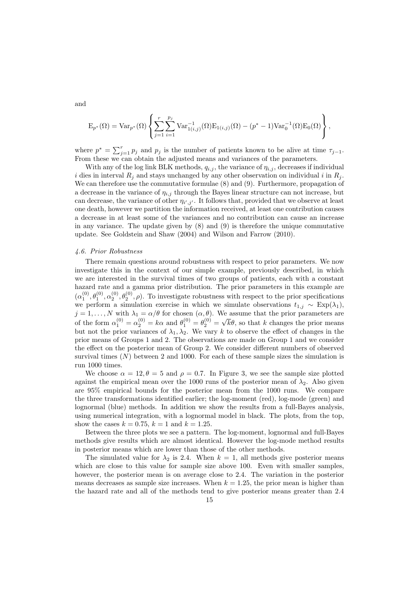and

$$
E_{p^*}(\Omega) = Var_{p^*}(\Omega) \left\{ \sum_{j=1}^r \sum_{i=1}^{p_j} Var_{1(i,j)}^{-1}(\Omega) E_{1(i,j)}(\Omega) - (p^* - 1) Var_0^{-1}(\Omega) E_0(\Omega) \right\},\,
$$

where  $p^* = \sum_{j=1}^r p_j$  and  $p_j$  is the number of patients known to be alive at time  $\tau_{j-1}$ . From these we can obtain the adjusted means and variances of the parameters.

With any of the log link BLK methods,  $q_{i,j}$ , the variance of  $\eta_{i,j}$ , decreases if individual i dies in interval  $R_i$  and stays unchanged by any other observation on individual i in  $R_i$ . We can therefore use the commutative formulae (8) and (9). Furthermore, propagation of a decrease in the variance of  $\eta_{i,j}$  through the Bayes linear structure can not increase, but can decrease, the variance of other  $\eta_{i',j'}$ . It follows that, provided that we observe at least one death, however we partition the information received, at least one contribution causes a decrease in at least some of the variances and no contribution can cause an increase in any variance. The update given by (8) and (9) is therefore the unique commutative update. See Goldstein and Shaw (2004) and Wilson and Farrow (2010).

### 4.6. Prior Robustness

There remain questions around robustness with respect to prior parameters. We now investigate this in the context of our simple example, previously described, in which we are interested in the survival times of two groups of patients, each with a constant hazard rate and a gamma prior distribution. The prior parameters in this example are  $(\alpha_1^{(0)}, \theta_1^{(0)}, \alpha_2^{(0)}, \theta_2^{(0)}, \rho)$ . To investigate robustness with respect to the prior specifications we perform a simulation exercise in which we simulate observations  $t_{1,j} \sim \text{Exp}(\lambda_1)$ ,  $j = 1, \ldots, N$  with  $\lambda_1 = \alpha/\theta$  for chosen  $(\alpha, \theta)$ . We assume that the prior parameters are of the form  $\alpha_1^{(0)} = \alpha_2^{(0)} = k\alpha$  and  $\theta_1^{(0)} = \theta_2^{(0)} =$ √  $k\theta$ , so that k changes the prior means but not the prior variances of  $\lambda_1, \lambda_2$ . We vary k to observe the effect of changes in the prior means of Groups 1 and 2. The observations are made on Group 1 and we consider the effect on the posterior mean of Group 2. We consider different numbers of observed survival times  $(N)$  between 2 and 1000. For each of these sample sizes the simulation is run 1000 times.

We choose  $\alpha = 12, \theta = 5$  and  $\rho = 0.7$ . In Figure 3, we see the sample size plotted against the empirical mean over the 1000 runs of the posterior mean of  $\lambda_2$ . Also given are 95% empirical bounds for the posterior mean from the 1000 runs. We compare the three transformations identified earlier; the log-moment (red), log-mode (green) and lognormal (blue) methods. In addition we show the results from a full-Bayes analysis, using numerical integration, with a lognormal model in black. The plots, from the top, show the cases  $k = 0.75$ ,  $k = 1$  and  $k = 1.25$ .

Between the three plots we see a pattern. The log-moment, lognormal and full-Bayes methods give results which are almost identical. However the log-mode method results in posterior means which are lower than those of the other methods.

The simulated value for  $\lambda_2$  is 2.4. When  $k = 1$ , all methods give posterior means which are close to this value for sample size above 100. Even with smaller samples, however, the posterior mean is on average close to 2.4. The variation in the posterior means decreases as sample size increases. When  $k = 1.25$ , the prior mean is higher than the hazard rate and all of the methods tend to give posterior means greater than 2.4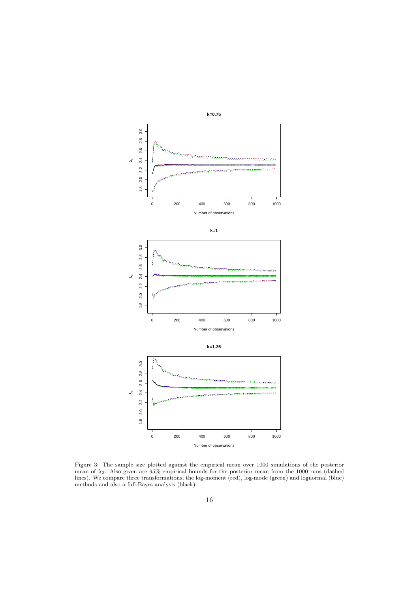

Figure 3: The sample size plotted against the empirical mean over 1000 simulations of the posterior mean of  $\lambda_2$ . Also given are 95% empirical bounds for the posterior mean from the 1000 runs (dashed lines). We compare three transformations; the log-moment (red), log-mode (green) and lognormal (blue) methods and also a full-Bayes analysis (black).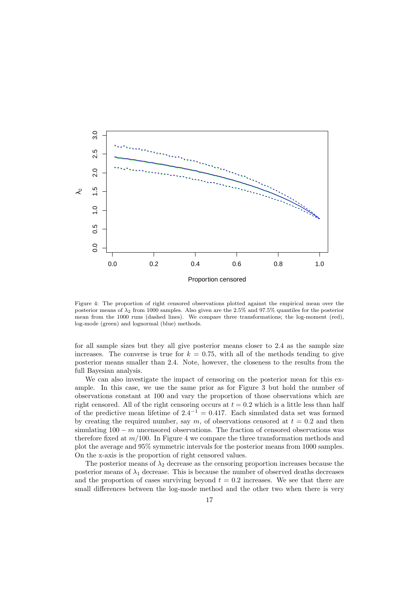

Figure 4: The proportion of right censored observations plotted against the empirical mean over the posterior means of  $\lambda_2$  from 1000 samples. Also given are the 2.5% and 97.5% quantiles for the posterior mean from the 1000 runs (dashed lines). We compare three transformations; the log-moment (red), log-mode (green) and lognormal (blue) methods.

for all sample sizes but they all give posterior means closer to 2.4 as the sample size increases. The converse is true for  $k = 0.75$ , with all of the methods tending to give posterior means smaller than 2.4. Note, however, the closeness to the results from the full Bayesian analysis.

We can also investigate the impact of censoring on the posterior mean for this example. In this case, we use the same prior as for Figure 3 but hold the number of observations constant at 100 and vary the proportion of those observations which are right censored. All of the right censoring occurs at  $t = 0.2$  which is a little less than half of the predictive mean lifetime of  $2.4^{-1} = 0.417$ . Each simulated data set was formed by creating the required number, say m, of observations censored at  $t = 0.2$  and then simulating  $100 - m$  uncensored observations. The fraction of censored observations was therefore fixed at  $m/100$ . In Figure 4 we compare the three transformation methods and plot the average and 95% symmetric intervals for the posterior means from 1000 samples. On the x-axis is the proportion of right censored values.

The posterior means of  $\lambda_2$  decrease as the censoring proportion increases because the posterior means of  $\lambda_1$  decrease. This is because the number of observed deaths decreases and the proportion of cases surviving beyond  $t = 0.2$  increases. We see that there are small differences between the log-mode method and the other two when there is very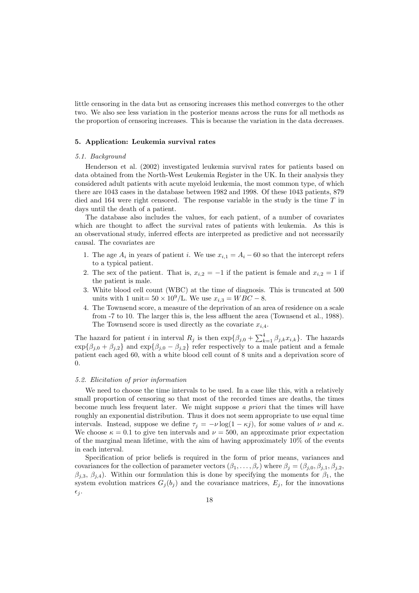little censoring in the data but as censoring increases this method converges to the other two. We also see less variation in the posterior means across the runs for all methods as the proportion of censoring increases. This is because the variation in the data decreases.

# 5. Application: Leukemia survival rates

#### 5.1. Background

Henderson et al. (2002) investigated leukemia survival rates for patients based on data obtained from the North-West Leukemia Register in the UK. In their analysis they considered adult patients with acute myeloid leukemia, the most common type, of which there are 1043 cases in the database between 1982 and 1998. Of these 1043 patients, 879 died and  $164$  were right censored. The response variable in the study is the time  $T$  in days until the death of a patient.

The database also includes the values, for each patient, of a number of covariates which are thought to affect the survival rates of patients with leukemia. As this is an observational study, inferred effects are interpreted as predictive and not necessarily causal. The covariates are

- 1. The age  $A_i$  in years of patient *i*. We use  $x_{i,1} = A_i 60$  so that the intercept refers to a typical patient.
- 2. The sex of the patient. That is,  $x_{i,2} = -1$  if the patient is female and  $x_{i,2} = 1$  if the patient is male.
- 3. White blood cell count (WBC) at the time of diagnosis. This is truncated at 500 units with 1 unit=  $50 \times 10^9$ /L. We use  $x_{i,3} = WBC - 8$ .
- 4. The Townsend score, a measure of the deprivation of an area of residence on a scale from -7 to 10. The larger this is, the less affluent the area (Townsend et al., 1988). The Townsend score is used directly as the covariate  $x_{i,4}$ .

The hazard for patient i in interval  $R_j$  is then  $\exp{\{\beta_{j,0} + \sum_{k=1}^4 \beta_{j,k}x_{i,k}\}}$ . The hazards  $\exp{\{\beta_{j,0} + \beta_{j,2}\}}$  and  $\exp{\{\beta_{j,0} - \beta_{j,2}\}}$  refer respectively to a male patient and a female patient each aged 60, with a white blood cell count of 8 units and a deprivation score of 0.

### 5.2. Elicitation of prior information

We need to choose the time intervals to be used. In a case like this, with a relatively small proportion of censoring so that most of the recorded times are deaths, the times become much less frequent later. We might suppose a priori that the times will have roughly an exponential distribution. Thus it does not seem appropriate to use equal time intervals. Instead, suppose we define  $\tau_j = -\nu \log(1 - \kappa_j)$ , for some values of  $\nu$  and  $\kappa$ . We choose  $\kappa = 0.1$  to give ten intervals and  $\nu = 500$ , an approximate prior expectation of the marginal mean lifetime, with the aim of having approximately 10% of the events in each interval.

Specification of prior beliefs is required in the form of prior means, variances and covariances for the collection of parameter vectors  $(\beta_1, \ldots, \beta_r)$  where  $\beta_i = (\beta_{i,0}, \beta_{i,1}, \beta_{i,2}, \beta_{i,3})$  $\beta_{j,3}, \beta_{j,4}$ ). Within our formulation this is done by specifying the moments for  $\beta_1$ , the system evolution matrices  $G_j(b_j)$  and the covariance matrices,  $E_j$ , for the innovations  $\epsilon_i$ .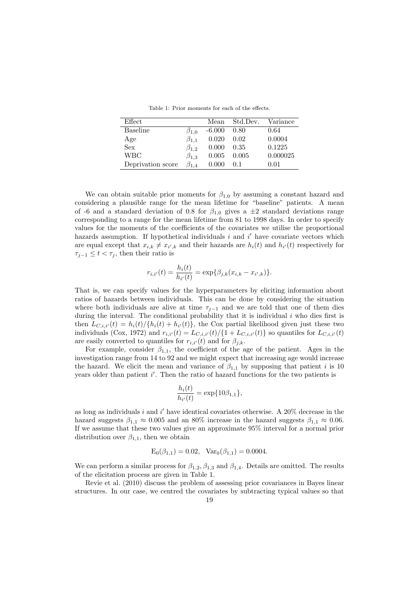|  |  |  | Table 1: Prior moments for each of the effects. |  |  |  |  |  |
|--|--|--|-------------------------------------------------|--|--|--|--|--|
|--|--|--|-------------------------------------------------|--|--|--|--|--|

| Effect            |               | Mean     | Std.Dev. | Variance |
|-------------------|---------------|----------|----------|----------|
| <b>Baseline</b>   | $\beta_{1.0}$ | $-6.000$ | 0.80     | 0.64     |
| Age               | $\beta_{1,1}$ | 0.020    | 0.02     | 0.0004   |
| <b>Sex</b>        | $\beta_{1,2}$ | 0.000    | 0.35     | 0.1225   |
| <b>WBC</b>        | $\beta_{1,3}$ | 0.005    | 0.005    | 0.000025 |
| Deprivation score | $\beta_{1.4}$ | 0.000    | 0.1      | 0.01     |

We can obtain suitable prior moments for  $\beta_{1,0}$  by assuming a constant hazard and considering a plausible range for the mean lifetime for "baseline" patients. A mean of -6 and a standard deviation of 0.8 for  $\beta_{1,0}$  gives a  $\pm 2$  standard deviations range corresponding to a range for the mean lifetime from 81 to 1998 days. In order to specify values for the moments of the coefficients of the covariates we utilise the proportional hazards assumption. If hypothetical individuals  $i$  and  $i'$  have covariate vectors which are equal except that  $x_{i,k} \neq x_{i',k}$  and their hazards are  $h_i(t)$  and  $h_{i'}(t)$  respectively for  $\tau_{i-1} \leq t < \tau_i$ , then their ratio is

$$
r_{i,i'}(t) = \frac{h_i(t)}{h_{i'}(t)} = \exp{\{\beta_{j,k}(x_{i,k} - x_{i',k})\}}.
$$

That is, we can specify values for the hyperparameters by eliciting information about ratios of hazards between individuals. This can be done by considering the situation where both individuals are alive at time  $\tau_{i-1}$  and we are told that one of them dies during the interval. The conditional probability that it is individual  $i$  who dies first is then  $L_{C,i,i'}(t) = h_i(t)/\{h_i(t) + h_{i'}(t)\}$ , the Cox partial likelihood given just these two individuals (Cox, 1972) and  $r_{i,i'}(t) = L_{C,i,i'}(t)/\{1 + L_{C,i,i'}(t)\}$  so quantiles for  $L_{C,i,i'}(t)$ are easily converted to quantiles for  $r_{i,i'}(t)$  and for  $\beta_{i,k}$ .

For example, consider  $\beta_{1,1}$ , the coefficient of the age of the patient. Ages in the investigation range from 14 to 92 and we might expect that increasing age would increase the hazard. We elicit the mean and variance of  $\beta_{1,1}$  by supposing that patient i is 10 years older than patient i'. Then the ratio of hazard functions for the two patients is

$$
\frac{h_i(t)}{h_{i'}(t)} = \exp\{10\beta_{1,1}\},\,
$$

as long as individuals i and i' have identical covariates otherwise. A  $20\%$  decrease in the hazard suggests  $\beta_{1,1} \approx 0.005$  and an 80% increase in the hazard suggests  $\beta_{1,1} \approx 0.06$ . If we assume that these two values give an approximate 95% interval for a normal prior distribution over  $\beta_{1,1}$ , then we obtain

$$
E_0(\beta_{1,1}) = 0.02
$$
,  $Var_0(\beta_{1,1}) = 0.0004$ .

We can perform a similar process for  $\beta_{1,2}, \beta_{1,3}$  and  $\beta_{1,4}$ . Details are omitted. The results of the elicitation process are given in Table 1.

Revie et al. (2010) discuss the problem of assessing prior covariances in Bayes linear structures. In our case, we centred the covariates by subtracting typical values so that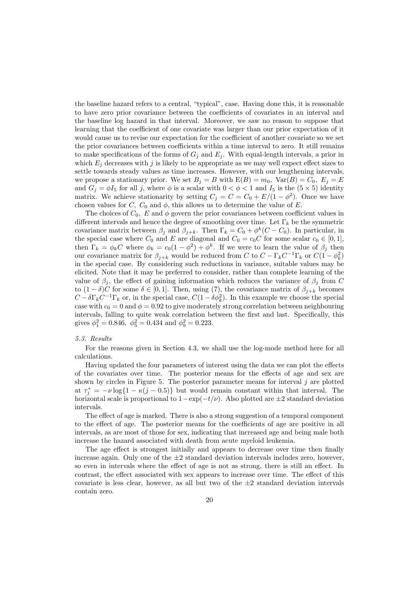the baseline hazard refers to a central, "typical", case. Having done this, it is reasonable to have zero prior covariance between the coefficients of covariates in an interval and the baseline log hazard in that interval. Moreover, we saw no reason to suppose that learning that the coefficient of one covariate was larger than our prior expectation of it would cause us to revise our expectation for the coefficient of another covariate so we set the prior covariances between coefficients within a time interval to zero. It still remains to make specifications of the forms of  $G_j$  and  $E_j$ . With equal-length intervals, a prior in which  $E_j$  decreases with j is likely to be appropriate as we may well expect effect sizes to settle towards steady values as time increases. However, with our lengthening intervals, we propose a stationary prior. We set  $B_j = B$  with  $E(B) = m_0$ ,  $Var(B) = C_0$ ,  $E_j = E$ and  $G_i = \phi I_5$  for all j, where  $\phi$  is a scalar with  $0 < \phi < 1$  and  $I_5$  is the  $(5 \times 5)$  identity matrix. We achieve stationarity by setting  $C_j = C = C_0 + E/(1 - \phi^2)$ . Once we have chosen values for C,  $C_0$  and  $\phi$ , this allows us to determine the value of E.

The choices of  $C_0$ , E and  $\phi$  govern the prior covariances between coefficient values in different intervals and hence the degree of smoothing over time. Let  $\Gamma_k$  be the symmetric covariance matrix between  $\beta_j$  and  $\beta_{j+k}$ . Then  $\Gamma_k = C_0 + \phi^k(C - C_0)$ . In particular, in the special case where  $C_0$  and E are diagonal and  $C_0 = c_0 C$  for some scalar  $c_0 \in [0, 1]$ , then  $\Gamma_k = \phi_k C$  where  $\phi_k = c_0(1 - \phi^2) + \phi^k$ . If we were to learn the value of  $\beta_j$  then our covariance matrix for  $\beta_{j+k}$  would be reduced from C to  $C - \Gamma_k C^{-1} \Gamma_k$  or  $C(1 - \phi_k^2)$ in the special case. By considering such reductions in variance, suitable values may be elicited. Note that it may be preferred to consider, rather than complete learning of the value of  $\beta_i$ , the effect of gaining information which reduces the variance of  $\beta_i$  from C to  $(1 - \delta)C$  for some  $\delta \in [0, 1]$ . Then, using (7), the covariance matrix of  $\beta_{j+k}$  becomes  $C - \delta \Gamma_k C^{-1} \Gamma_k$  or, in the special case,  $C(1 - \delta \phi_k^2)$ . In this example we choose the special case with  $c_0 = 0$  and  $\phi = 0.92$  to give moderately strong correlation between neighbouring intervals, falling to quite weak correlation between the first and last. Specifically, this gives  $\phi_1^2 = 0.846$ ,  $\phi_5^2 = 0.434$  and  $\phi_9^2 = 0.223$ .

#### 5.3. Results

For the reasons given in Section 4.3, we shall use the log-mode method here for all calculations.

Having updated the four parameters of interest using the data we can plot the effects of the covariates over time. The posterior means for the effects of age and sex are shown by circles in Figure 5. The posterior parameter means for interval  $j$  are plotted at  $\tau_j^* = -\nu \log\{1 - \kappa(j - 0.5)\}\$  but would remain constant within that interval. The horizontal scale is proportional to  $1-\exp(-t/\nu)$ . Also plotted are  $\pm 2$  standard deviation intervals.

The effect of age is marked. There is also a strong suggestion of a temporal component to the effect of age. The posterior means for the coefficients of age are positive in all intervals, as are most of those for sex, indicating that increased age and being male both increase the hazard associated with death from acute myeloid leukemia.

The age effect is strongest initially and appears to decrease over time then finally increase again. Only one of the  $\pm 2$  standard deviation intervals includes zero, however, so even in intervals where the effect of age is not as strong, there is still an effect. In contrast, the effect associated with sex appears to increase over time. The effect of this covariate is less clear, however, as all but two of the  $\pm 2$  standard deviation intervals contain zero.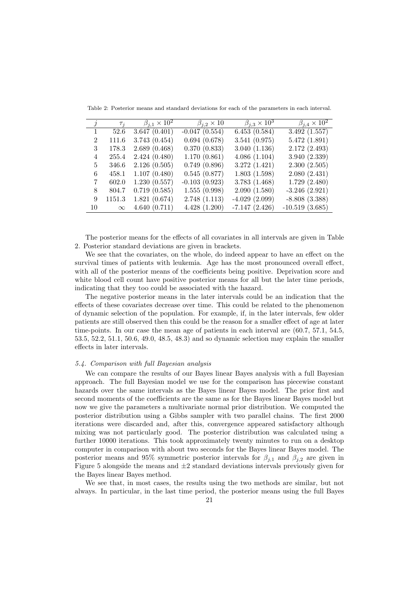| j              | $\tau_i$ | $\beta_{j,1}\times 10^2$ | $\beta_{j,2} \times 10$ | $\beta_{i,3} \times 10^3$ | $\beta_{j,4} \times 10^2$ |
|----------------|----------|--------------------------|-------------------------|---------------------------|---------------------------|
|                | 52.6     | 3.647(0.401)             | $-0.047(0.554)$         | 6.453(0.584)              | 3.492(1.557)              |
| $\mathfrak{D}$ | 111.6    | 3.743(0.454)             | 0.694(0.678)            | 3.541(0.975)              | 5.472(1.891)              |
| 3              | 178.3    | 2.689(0.468)             | 0.370(0.833)            | 3.040(1.136)              | 2.172(2.493)              |
| 4              | 255.4    | 2.424(0.480)             | 1.170(0.861)            | 4.086(1.104)              | 3.940(2.339)              |
| 5              | 346.6    | 2.126(0.505)             | 0.749(0.896)            | 3.272(1.421)              | 2.300(2.505)              |
| 6              | 458.1    | 1.107(0.480)             | 0.545(0.877)            | 1.803(1.598)              | 2.080(2.431)              |
| 7              | 602.0    | 1.230(0.557)             | $-0.103(0.923)$         | 3.783(1.468)              | 1.729(2.480)              |
| 8              | 804.7    | 0.719(0.585)             | 1.555(0.998)            | 2.090(1.580)              | $-3.246(2.921)$           |
| 9              | 1151.3   | 1.821(0.674)             | 2.748(1.113)            | $-4.029(2.099)$           | $-8.808(3.388)$           |
| 10             | $\infty$ | 4.640(0.711)             | 4.428(1.200)            | $-7.147(2.426)$           | $-10.519(3.685)$          |

Table 2: Posterior means and standard deviations for each of the parameters in each interval.

The posterior means for the effects of all covariates in all intervals are given in Table 2. Posterior standard deviations are given in brackets.

We see that the covariates, on the whole, do indeed appear to have an effect on the survival times of patients with leukemia. Age has the most pronounced overall effect, with all of the posterior means of the coefficients being positive. Deprivation score and white blood cell count have positive posterior means for all but the later time periods, indicating that they too could be associated with the hazard.

The negative posterior means in the later intervals could be an indication that the effects of these covariates decrease over time. This could be related to the phenomenon of dynamic selection of the population. For example, if, in the later intervals, few older patients are still observed then this could be the reason for a smaller effect of age at later time-points. In our case the mean age of patients in each interval are (60.7, 57.1, 54.5, 53.5, 52.2, 51.1, 50.6, 49.0, 48.5, 48.3) and so dynamic selection may explain the smaller effects in later intervals.

# 5.4. Comparison with full Bayesian analysis

We can compare the results of our Bayes linear Bayes analysis with a full Bayesian approach. The full Bayesian model we use for the comparison has piecewise constant hazards over the same intervals as the Bayes linear Bayes model. The prior first and second moments of the coefficients are the same as for the Bayes linear Bayes model but now we give the parameters a multivariate normal prior distribution. We computed the posterior distribution using a Gibbs sampler with two parallel chains. The first 2000 iterations were discarded and, after this, convergence appeared satisfactory although mixing was not particularly good. The posterior distribution was calculated using a further 10000 iterations. This took approximately twenty minutes to run on a desktop computer in comparison with about two seconds for the Bayes linear Bayes model. The posterior means and 95% symmetric posterior intervals for  $\beta_{j,1}$  and  $\beta_{j,2}$  are given in Figure 5 alongside the means and  $\pm 2$  standard deviations intervals previously given for the Bayes linear Bayes method.

We see that, in most cases, the results using the two methods are similar, but not always. In particular, in the last time period, the posterior means using the full Bayes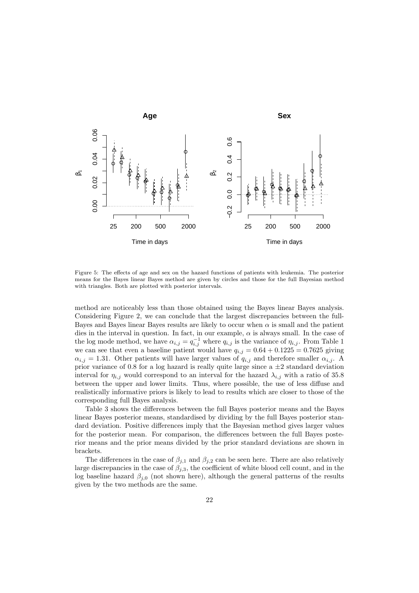

Figure 5: The effects of age and sex on the hazard functions of patients with leukemia. The posterior means for the Bayes linear Bayes method are given by circles and those for the full Bayesian method with triangles. Both are plotted with posterior intervals.

method are noticeably less than those obtained using the Bayes linear Bayes analysis. Considering Figure 2, we can conclude that the largest discrepancies between the full-Bayes and Bayes linear Bayes results are likely to occur when  $\alpha$  is small and the patient dies in the interval in question. In fact, in our example,  $\alpha$  is always small. In the case of the log mode method, we have  $\alpha_{i,j} = q_{i,j}^{-1}$  where  $q_{i,j}$  is the variance of  $\eta_{i,j}$ . From Table 1 we can see that even a baseline patient would have  $q_{i,j} = 0.64 + 0.1225 = 0.7625$  giving  $\alpha_{i,j} = 1.31$ . Other patients will have larger values of  $q_{i,j}$  and therefore smaller  $\alpha_{i,j}$ . A prior variance of 0.8 for a log hazard is really quite large since a  $\pm 2$  standard deviation interval for  $\eta_{i,j}$  would correspond to an interval for the hazard  $\lambda_{i,j}$  with a ratio of 35.8 between the upper and lower limits. Thus, where possible, the use of less diffuse and realistically informative priors is likely to lead to results which are closer to those of the corresponding full Bayes analysis.

Table 3 shows the differences between the full Bayes posterior means and the Bayes linear Bayes posterior means, standardised by dividing by the full Bayes posterior standard deviation. Positive differences imply that the Bayesian method gives larger values for the posterior mean. For comparison, the differences between the full Bayes posterior means and the prior means divided by the prior standard deviations are shown in brackets.

The differences in the case of  $\beta_{i,1}$  and  $\beta_{i,2}$  can be seen here. There are also relatively large discrepancies in the case of  $\beta_{i,3}$ , the coefficient of white blood cell count, and in the log baseline hazard  $\beta_{i,0}$  (not shown here), although the general patterns of the results given by the two methods are the same.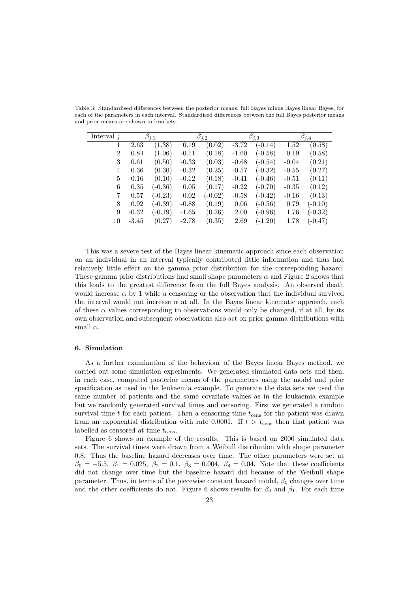| Interval $j$   | $\beta_{j,1}$ |           | $\beta_{j,2}$ |           | $\beta_{j,3}$ |           | $\beta_{j,4}$ |           |
|----------------|---------------|-----------|---------------|-----------|---------------|-----------|---------------|-----------|
|                | 2.63          | (1.38)    | 0.19          | (0.02)    | $-3.72$       | $(-0.14)$ | 1.52          | (0.58)    |
| $\overline{2}$ | 0.84          | (1.06)    | $-0.11$       | (0.18)    | $-1.60$       | $(-0.58)$ | 0.19          | (0.58)    |
| 3              | 0.61          | (0.50)    | $-0.33$       | (0.03)    | $-0.68$       | $(-0.54)$ | $-0.04$       | (0.21)    |
| 4              | 0.36          | (0.30)    | $-0.32$       | (0.25)    | $-0.57$       | $(-0.32)$ | $-0.55$       | (0.27)    |
| 5              | 0.16          | (0.10)    | $-0.12$       | (0.18)    | $-0.41$       | $(-0.46)$ | $-0.51$       | (0.11)    |
| 6              | 0.35          | $(-0.36)$ | 0.05          | (0.17)    | $-0.22$       | $(-0.70)$ | $-0.35$       | (0.12)    |
| 7              | 0.57          | $(-0.23)$ | 0.02          | $(-0.02)$ | $-0.58$       | $(-0.42)$ | $-0.16$       | (0.13)    |
| 8              | 0.92          | $(-0.39)$ | $-0.88$       | (0.19)    | 0.06          | $(-0.56)$ | 0.79          | $(-0.10)$ |
| 9              | $-0.32$       | $(-0.19)$ | $-1.65$       | (0.26)    | 2.00          | $(-0.96)$ | 1.76          | $(-0.32)$ |
| 10             | $-3.45$       | (0.27)    | $-2.78$       | (0.35)    | 2.69          | $(-1.20)$ | 1.78          | $-0.47)$  |

Table 3: Standardised differences between the posterior means, full Bayes minus Bayes linear Bayes, for each of the parameters in each interval. Standardised differences between the full Bayes posterior means and prior means are shown in brackets.

This was a severe test of the Bayes linear kinematic approach since each observation on an individual in an interval typically contributed little information and thus had relatively little effect on the gamma prior distribution for the corresponding hazard. These gamma prior distributions had small shape parameters  $\alpha$  and Figure 2 shows that this leads to the greatest difference from the full Bayes analysis. An observed death would increase  $\alpha$  by 1 while a censoring or the observation that the individual survived the interval would not increase  $\alpha$  at all. In the Bayes linear kinematic approach, each of these  $\alpha$  values corresponding to observations would only be changed, if at all, by its own observation and subsequent observations also act on prior gamma distributions with small  $\alpha.$ 

#### 6. Simulation

As a further examination of the behaviour of the Bayes linear Bayes method, we carried out some simulation experiments. We generated simulated data sets and then, in each case, computed posterior means of the parameters using the model and prior specification as used in the leukaemia example. To generate the data sets we used the same number of patients and the same covariate values as in the leukaemia example but we randomly generated survival times and censoring. First we generated a random survival time t for each patient. Then a censoring time  $t_{\text{cens}}$  for the patient was drawn from an exponential distribution with rate 0.0001. If  $t > t_{\text{cens}}$  then that patient was labelled as censored at time  $t_{\rm{cens}}$ .

Figure 6 shows an example of the results. This is based on 2000 simulated data sets. The survival times were drawn from a Weibull distribution with shape parameter 0.8. Thus the baseline hazard decreases over time. The other parameters were set at  $\beta_0 = -5.5, \ \beta_1 = 0.025, \ \beta_2 = 0.1, \ \beta_3 = 0.004, \ \beta_4 = 0.04.$  Note that these coefficients did not change over time but the baseline hazard did because of the Weibull shape parameter. Thus, in terms of the piecewise constant hazard model,  $\beta_0$  changes over time and the other coefficients do not. Figure 6 shows results for  $\beta_0$  and  $\beta_1$ . For each time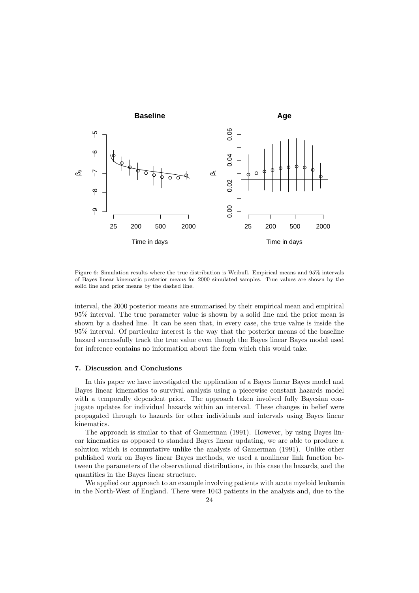

Figure 6: Simulation results where the true distribution is Weibull. Empirical means and 95% intervals of Bayes linear kinematic posterior means for 2000 simulated samples. True values are shown by the solid line and prior means by the dashed line.

interval, the 2000 posterior means are summarised by their empirical mean and empirical 95% interval. The true parameter value is shown by a solid line and the prior mean is shown by a dashed line. It can be seen that, in every case, the true value is inside the 95% interval. Of particular interest is the way that the posterior means of the baseline hazard successfully track the true value even though the Bayes linear Bayes model used for inference contains no information about the form which this would take.

# 7. Discussion and Conclusions

In this paper we have investigated the application of a Bayes linear Bayes model and Bayes linear kinematics to survival analysis using a piecewise constant hazards model with a temporally dependent prior. The approach taken involved fully Bayesian conjugate updates for individual hazards within an interval. These changes in belief were propagated through to hazards for other individuals and intervals using Bayes linear kinematics.

The approach is similar to that of Gamerman (1991). However, by using Bayes linear kinematics as opposed to standard Bayes linear updating, we are able to produce a solution which is commutative unlike the analysis of Gamerman (1991). Unlike other published work on Bayes linear Bayes methods, we used a nonlinear link function between the parameters of the observational distributions, in this case the hazards, and the quantities in the Bayes linear structure.

We applied our approach to an example involving patients with acute myeloid leukemia in the North-West of England. There were 1043 patients in the analysis and, due to the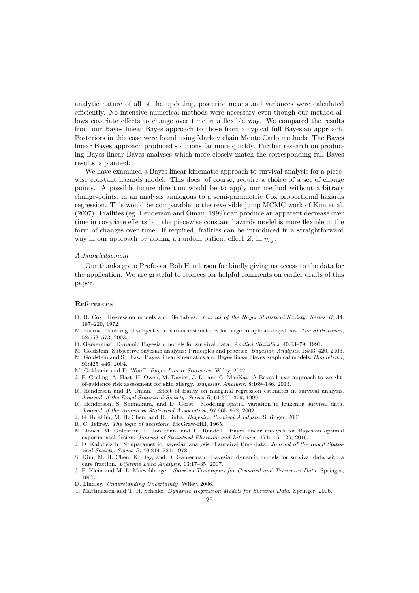analytic nature of all of the updating, posterior means and variances were calculated efficiently. No intensive numerical methods were necessary even though our method allows covariate effects to change over time in a flexible way. We compared the results from our Bayes linear Bayes approach to those from a typical full Bayesian approach. Posteriors in this case were found using Markov chain Monte Carlo methods. The Bayes linear Bayes approach produced solutions far more quickly. Further research on producing Bayes linear Bayes analyses which more closely match the corresponding full Bayes results is planned.

We have examined a Bayes linear kinematic approach to survival analysis for a piecewise constant hazards model. This does, of course, require a choice of a set of change points. A possible future direction would be to apply our method without arbitrary change-points, in an analysis analogous to a semi-parametric Cox proportional hazards regression. This would be comparable to the reversible jump MCMC work of Kim et al. (2007). Frailties (eg. Henderson and Oman, 1999) can produce an apparent decrease over time in covariate effects but the piecewise constant hazards model is more flexible in the form of changes over time. If required, frailties can be introduced in a straightforward way in our approach by adding a random patient effect  $Z_i$  in  $\eta_{i,j}$ .

#### Acknowledgement

Our thanks go to Professor Rob Henderson for kindly giving us access to the data for the application. We are grateful to referees for helpful comments on earlier drafts of this paper.

# References

- D. R. Cox. Regression models and life tables. Journal of the Royal Statistical Society. Series B, 34: 187–220, 1972.
- M. Farrow. Building of subjective covariance structures for large complicated systems. The Statistician, 52:553–573, 2003.
- D. Gamerman. Dynamic Bayesian models for survival data. Applied Statistics, 40:63–79, 1991.
- M. Goldstein. Subjective bayesian analysis: Principles and practice. Bayesian Analysis, 1:403–420, 2006. M. Goldstein and S. Shaw. Bayes linear kinematics and Bayes linear Bayes graphical models. Biometrika, 91:425–446, 2004.
- M. Goldstein and D. Wooff. Bayes Linear Statistics. Wiley, 2007.
- J. P. Gosling, A. Hart, H. Owen, M. Davies, J. Li, and C. MacKay. A Bayes linear approach to weightof-evidence risk assessment for skin allergy. Bayesian Analysis, 8:169–186, 2013.
- R. Henderson and P. Oman. Effect of frailty on marginal regression estimates in survival analysis. Journal of the Royal Statistical Society. Series B, 61:367–379, 1999.
- R. Henderson, S. Shimakura, and D. Gorst. Modeling spatial variation in leukemia survival data. Journal of the American Statistical Association, 97:965–972, 2002.
- J. G. Ibrahim, M. H. Chen, and D. Sinha. Bayesian Survival Analysis. Springer, 2001.
- R. C. Jeffrey. The logic of decisions. McGraw-Hill, 1965.
- M. Jones, M. Goldstein, P. Jonathan, and D. Randell. Bayes linear analysis for Bayesian optimal experimental design. Journal of Statistical Planning and Inference, 171:115–129, 2016.
- J. D. Kalbfleisch. Nonparametric Bayesian analysis of survival time data. Journal of the Royal Statistical Society. Series B, 40:214–221, 1978.
- S. Kim, M. H. Chen, K. Dey, and D. Gamerman. Bayesian dynamic models for survival data with a cure fraction. Lifetime Data Analysis, 13:17–35, 2007.
- J. P. Klein and M. L. Moeschberger. Survival Techniques for Censored and Truncated Data. Springer, 1997.
- D. Lindley. Understanding Uncertainty. Wiley, 2006.
- T. Martinussen and T. H. Scheike. Dynamic Regression Models for Survival Data. Springer, 2006.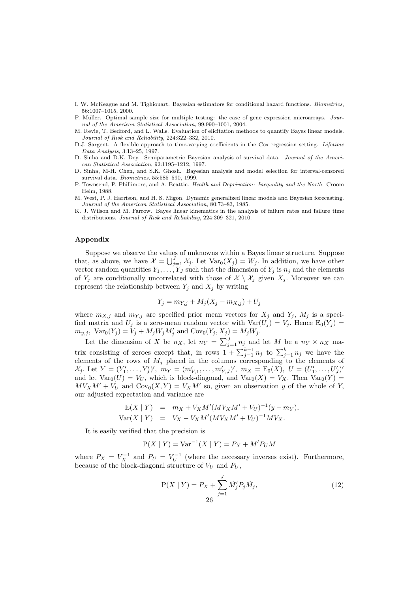- I. W. McKeague and M. Tighiouart. Bayesian estimators for conditional hazard functions. Biometrics, 56:1007–1015, 2000.
- P. Müller. Optimal sample size for multiple testing: the case of gene expression microarrays. Journal of the American Statistical Association, 99:990–1001, 2004.
- M. Revie, T. Bedford, and L. Walls. Evaluation of elicitation methods to quantify Bayes linear models. Journal of Risk and Reliability, 224:322–332, 2010.
- D.J. Sargent. A flexible approach to time-varying coefficients in the Cox regression setting. Lifetime Data Analysis, 3:13–25, 1997.
- D. Sinha and D.K. Dey. Semiparametric Bayesian analysis of survival data. Journal of the American Statistical Association, 92:1195–1212, 1997.
- D. Sinha, M-H. Chen, and S.K. Ghosh. Bayesian analysis and model selection for interval-censored survival data. Biometrics, 55:585–590, 1999.
- P. Townsend, P. Phillimore, and A. Beattie. Health and Deprivation: Inequality and the North. Croom Helm, 1988.
- M. West, P. J. Harrison, and H. S. Migon. Dynamic generalized linear models and Bayesian forecasting. Journal of the American Statistical Association, 80:73–83, 1985.
- K. J. Wilson and M. Farrow. Bayes linear kinematics in the analysis of failure rates and failure time distributions. Journal of Risk and Reliability, 224:309–321, 2010.

# Appendix

Suppose we observe the values of unknowns within a Bayes linear structure. Suppose that, as above, we have  $\mathcal{X} = \bigcup_{j=1}^J \mathcal{X}_j$ . Let  $\text{Var}_0(X_j) = W_j$ . In addition, we have other vector random quantities  $Y_1, \ldots, Y_J$  such that the dimension of  $Y_j$  is  $n_j$  and the elements of  $Y_j$  are conditionally uncorrelated with those of  $\mathcal{X} \setminus \mathcal{X}_j$  given  $X_j$ . Moreover we can represent the relationship between  $Y_j$  and  $X_j$  by writing

$$
Y_j = m_{Y,j} + M_j(X_j - m_{X,j}) + U_j
$$

where  $m_{X,j}$  and  $m_{Y,j}$  are specified prior mean vectors for  $X_j$  and  $Y_j$ ,  $M_j$  is a specified matrix and  $U_j$  is a zero-mean random vector with  $Var(U_j) = V_j$ . Hence  $E_0(Y_j) =$  $m_{y,j}$ ,  $Var_0(Y_j) = V_j + M_j W_j M'_j$  and  $Cov_0(Y_j, X_j) = M_j W_j$ .

Let the dimension of X be  $n_X$ , let  $n_Y = \sum_{j=1}^J n_j$  and let M be a  $n_Y \times n_X$  matrix consisting of zeroes except that, in rows  $1 + \sum_{j=1}^{k-1} n_j$  to  $\sum_{j=1}^{k} n_j$  we have the elements of the rows of  $M_j$  placed in the columns corresponding to the elements of  $\mathcal{X}_j$ . Let  $Y = (Y'_1, \ldots, Y'_J)'$ ,  $m_Y = (m'_{Y,1}, \ldots, m'_{Y,J})'$ ,  $m_X = E_0(X)$ ,  $U = (U'_1, \ldots, U'_J)'$ and let  $Var_0(U) = V_U$ , which is block-diagonal, and  $Var_0(X) = V_X$ . Then  $Var_0(Y)$  $MV_XM' + V_U$  and  $Cov_0(X, Y) = V_XM'$  so, given an observation y of the whole of Y, our adjusted expectation and variance are

$$
E(X | Y) = m_X + V_X M'(M V_X M' + V_U)^{-1} (y - m_Y),
$$
  
 
$$
Var(X | Y) = V_X - V_X M'(M V_X M' + V_U)^{-1} M V_X.
$$

It is easily verified that the precision is

$$
P(X | Y) = Var^{-1}(X | Y) = P_X + M'P_UM
$$

where  $P_X = V_X^{-1}$  and  $P_U = V_U^{-1}$  (where the necessary inverses exist). Furthermore, because of the block-diagonal structure of  $V_U$  and  $P_U$ ,

$$
P(X | Y) = P_X + \sum_{j=1}^{J} \tilde{M}'_j P_j \tilde{M}_j,
$$
\n(12)